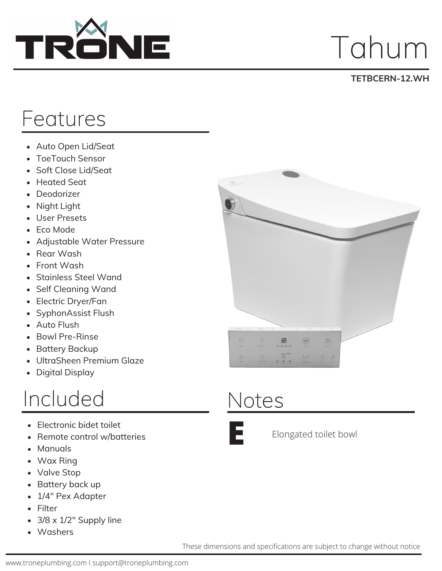

## Tahum

#### **TETBCERN-12.WH**

#### Features

- Auto Open Lid/Seat
- ToeTouch Sensor  $\bullet$
- Soft Close Lid/Seat  $\bullet$
- Heated Seat
- Deodorizer
- Night Light  $\bullet$
- User Presets
- Eco Mode
- Adjustable Water Pressure
- Rear Wash
- Front Wash
- Stainless Steel Wand
- Self Cleaning Wand
- Electric Dryer/Fan
- SyphonAssist Flush  $\bullet$
- Auto Flush
- Bowl Pre-Rinse  $\bullet$
- Battery Backup  $\bullet$
- UltraSheen Premium Glaze  $\bullet$
- Digital Display

#### Included

- Electronic bidet toilet
- Remote control w/batteries
- Manuals
- Wax Ring
- Valve Stop
- Battery back up
- 1/4" Pex Adapter
- Filter
- 3/8 x 1/2" Supply line
- Washers



### Notes



Elongated toilet bowl